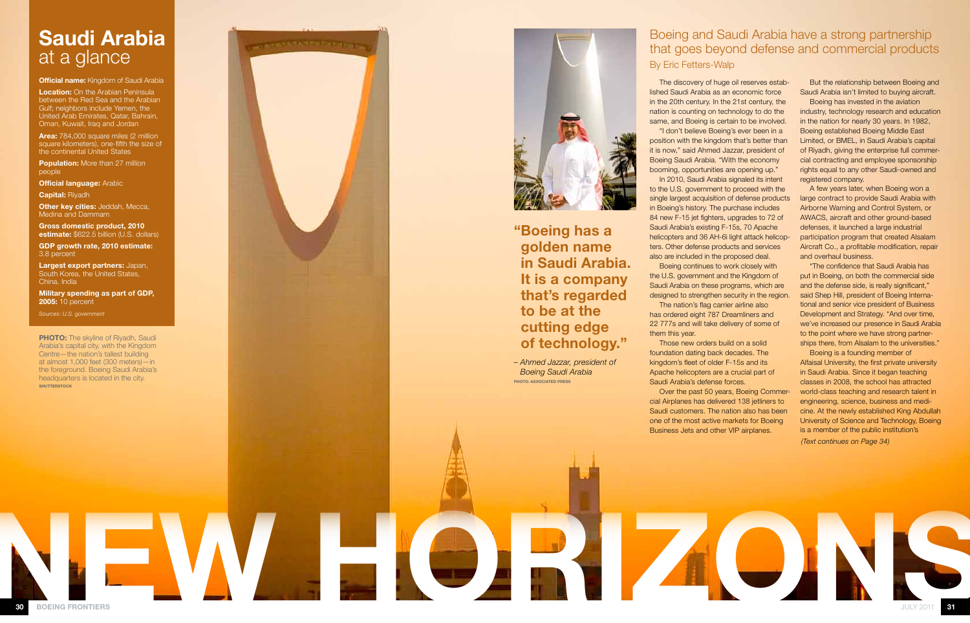The discovery of huge oil reserves estab lished Saudi Arabia as an economic force in the 20th century. In the 21st century, the nation is counting on technology to do the same, and Boeing is certain to be involved. "I don't believe Boeing's ever been in a position with the kingdom that's better than it is now," said Ahmed Jazzar, president of Boeing Saudi Arabia. "With the economy booming, opportunities are opening up." In 2010, Saudi Arabia signaled its intent to the U.S. government to proceed with the single largest acquisition of defense products in Boeing's history. The purchase includes 84 new F-15 jet fighters, upgrades to 72 of Saudi Arabia's existing F-15s, 70 Apache helicopters and 36 AH-6i light attack helicop ters. Other defense products and services also are included in the proposed deal. Boeing continues to work closely with the U.S. government and the Kingdom of Saudi Arabia on these programs, which are designed to strengthen security in the region. The nation's flag carrier airline also has ordered eight 787 Dreamliners and 22 777s and will take delivery of some of

them this year.

Those new orders build on a solid foundation dating back decades. The kingdom's fleet of older F-15s and its Apache helicopters are a crucial part of Saudi Arabia's defense forces.

Over the past 50 years, Boeing Commer -

cial Airplanes has delivered 138 jetliners to Saudi customers. The nation also has been one of the most active markets for Boeing Business Jets and other VIP airplanes.

But the relationship between Boeing and Saudi Arabia isn't limited to buying aircraft.

Boeing has invested in the aviation industry, technology research and education in the nation for nearly 30 years. In 1982, Boeing established Boeing Middle East Limited, or BMEL, in Saudi Arabia's capital of Riyadh, giving the enterprise full commer cial contracting and employee sponsorship rights equal to any other Saudi-owned and registered company.

**Location:** On the Arabian Peninsula between the Red Sea and the Arabian Gulf; neighbors include Yemen, the United Arab Emirates, Qatar, Bahrain, Oman, Kuwait, Iraq and Jordan

**Population:** More than 27 million people

**Gross domestic product, 2010 estimate:** \$622.5 billion (U.S. dollars)

A few years later, when Boeing won a large contract to provide Saudi Arabia with Airborne Warning and Control System, or AWACS, aircraft and other ground-based defenses, it launched a large industrial participation program that created Alsalam Aircraft Co., a profitable modification, repair and overhaul business.

"The confidence that Saudi Arabia has put in Boeing, on both the commercial side and the defense side, is really significant," said Shep Hill, president of Boeing Interna tional and senior vice president of Business Development and Strategy. "And over time, we've increased our presence in Saudi Arabia to the point where we have strong partnerships there, from Alsalam to the universities."





## Boeing and Saudi Arabia have a strong partnership that goes beyond defense and commercial products By Eric Fetters-Walp

**"Boeing has a golden name in Saudi Arabia. It is a company that's regarded to be at the cutting edge of technology."**

*– Ahmed Jazzar, president of Boeing Saudi Arabia* **PHOTO: Associated Press**

Boeing is a founding member of Alfaisal University, the first private university in Saudi Arabia. Since it began teaching classes in 2008, the school has attracted world-class teaching and research talent in engineering, science, business and medi cine. At the newly established King Abdullah University of Science and Technology, Boeing is a member of the public institution's *(Text continues on Page 34)*



**Area:** 784,000 square miles (2 million square kilometers), one-fifth the size of the continental United States

**Official language:** Arabic

**Capital:** Riyadh

**Other key cities:** Jeddah, Mecca, Medina and Dammam

**GDP growth rate, 2010 estimate:** 3.8 percent

**Largest export partners:** Japan, South Korea, the United States, China, India

**Military spending as part of GDP, 2005:** 10 percent

*Sources: U.S. government*

**PHOTO:** The skyline of Riyadh, Saudi Arabia's capital city, with the Kingdom Centre—the nation's tallest building at almost 1,000 feet (300 meters)—in the foreground. Boeing Saudi Arabia's headquarters is located in the city. **SHUTTERSTOCK** 

# **Saudi Arabia** at a glance

**Official name:** Kingdom of Saudi Arabia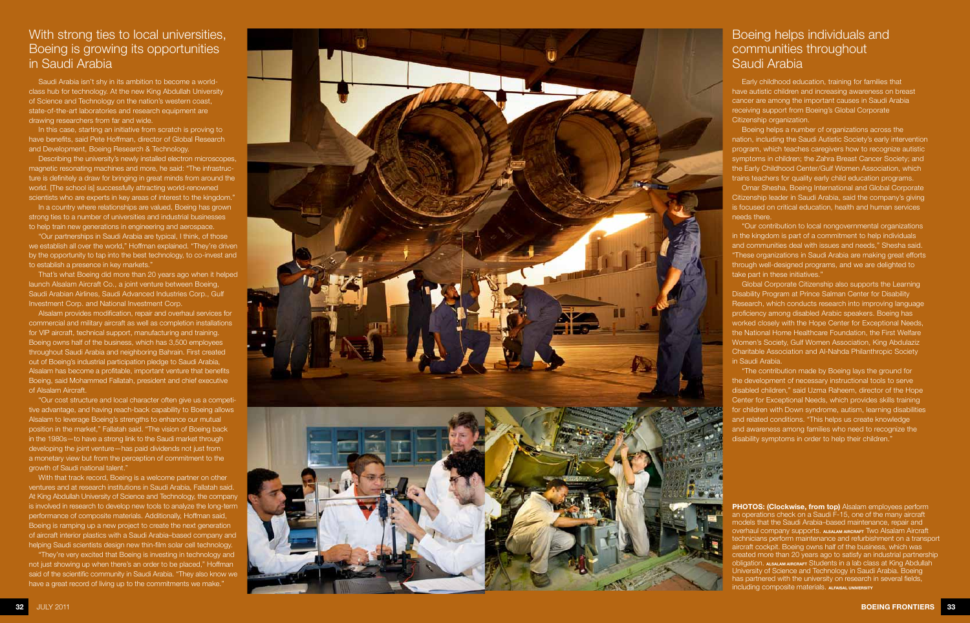### With strong ties to local universities, Boeing is growing its opportunities in Saudi Arabia

#### Boeing helps individuals and communities throughout Saudi Arabia

In this case, starting an initiative from scratch is proving to have benefits, said Pete Hoffman, director of Global Research and Development, Boeing Research & Technology.

Saudi Arabia isn't shy in its ambition to become a worldclass hub for technology. At the new King Abdullah University of Science and Technology on the nation's western coast, state-of-the-art laboratories and research equipment are drawing researchers from far and wide.

In a country where relationships are valued, Boeing has grown strong ties to a number of universities and industrial businesses to help train new generations in engineering and aerospace.

Describing the university's newly installed electron microscopes, magnetic resonating machines and more, he said: "The infrastruc ture is definitely a draw for bringing in great minds from around the world. [The school is] successfully attracting world-renowned scientists who are experts in key areas of interest to the kingdom."

"Our partnerships in Saudi Arabia are typical, I think, of those we establish all over the world," Hoffman explained. "They're driven by the opportunity to tap into the best technology, to co-invest and to establish a presence in key markets."

That's what Boeing did more than 20 years ago when it helped launch Alsalam Aircraft Co., a joint venture between Boeing, Saudi Arabian Airlines, Saudi Advanced Industries Corp., Gulf Investment Corp. and National Investment Corp.

Alsalam provides modification, repair and overhaul services for commercial and military aircraft as well as completion installations for VIP aircraft, technical support, manufacturing and training. Boeing owns half of the business, which has 3,500 employees throughout Saudi Arabia and neighboring Bahrain. First created out of Boeing's industrial participation pledge to Saudi Arabia, Alsalam has become a profitable, important venture that benefits Boeing, said Mohammed Fallatah, president and chief executive of Alsalam Aircraft.

"Our contribution to local nongovernmental organizations in the kingdom is part of a commitment to help individuals and communities deal with issues and needs," Shesha said. "These organizations in Saudi Arabia are making great efforts through well-designed programs, and we are delighted to take part in these initiatives.'

"Our cost structure and local character often give us a competi tive advantage, and having reach-back capability to Boeing allows Alsalam to leverage Boeing's strengths to enhance our mutual position in the market," Fallatah said. "The vision of Boeing back in the 1980s—to have a strong link to the Saudi market through developing the joint venture—has paid dividends not just from a monetary view but from the perception of commitment to the growth of Saudi national talent."

With that track record, Boeing is a welcome partner on other ventures and at research institutions in Saudi Arabia, Fallatah said. At King Abdullah University of Science and Technology, the company is involved in research to develop new tools to analyze the long-term performance of composite materials. Additionally, Hoffman said, Boeing is ramping up a new project to create the next generation of aircraft interior plastics with a Saudi Arabia–based company and helping Saudi scientists design new thin-film solar cell technology.

"They're very excited that Boeing is investing in technology and not just showing up when there's an order to be placed," Hoffman said of the scientific community in Saudi Arabia. "They also know we have a great record of living up to the commitments we make."



Early childhood education, training for families that have autistic children and increasing awareness on breast cancer are among the important causes in Saudi Arabia receiving support from Boeing's Global Corporate Citizenship organization.

Boeing helps a number of organizations across the nation, including the Saudi Autistic Society's early intervention program, which teaches caregivers how to recognize autistic symptoms in children; the Zahra Breast Cancer Society; and the Early Childhood Center/Gulf Women Association, which trains teachers for quality early child education programs.

Omar Shesha, Boeing International and Global Corporate Citizenship leader in Saudi Arabia, said the company's giving is focused on critical education, health and human services needs there.

Global Corporate Citizenship also supports the Learning Disability Program at Prince Salman Center for Disability Research, which conducts research into improving language proficiency among disabled Arabic speakers. Boeing has worked closely with the Hope Center for Exceptional Needs, the National Home Healthcare Foundation, the First Welfare Women's Society, Gulf Women Association, King Abdulaziz Charitable Association and Al-Nahda Philanthropic Society in Saudi Arabia.

"The contribution made by Boeing lays the ground for the development of necessary instructional tools to serve disabled children," said Uzma Raheem, director of the Hope Center for Exceptional Needs, which provides skills training for children with Down syndrome, autism, learning disabilities and related conditions. "This helps us create knowledge and awareness among families who need to recognize the disability symptoms in order to help their children."

**PHOTOS: (Clockwise, from top)** Alsalam employees perform an operations check on a Saudi F-15, one of the many aircraft models that the Saudi Arabia–based maintenance, repair and overhaul company supports. **ALSALAM AIRCRAFT** Two Alsalam Aircraft technicians perform maintenance and refurbishment on a transport aircraft cockpit. Boeing owns half of the business, which was created more than 20 years ago to satisfy an industrial partnership obligation. **ALSALAM AIRCRAFT** Students in a lab class at King Abdullah University of Science and Technology in Saudi Arabia. Boeing has partnered with the university on research in several fields, including composite materials. **alfaisal university**